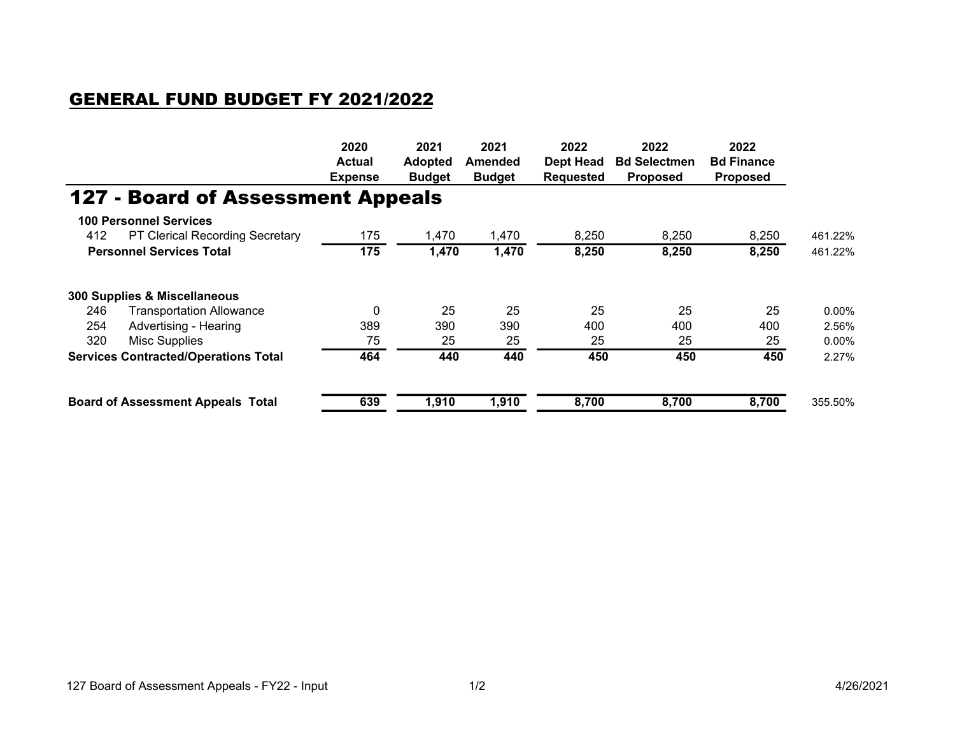## GENERAL FUND BUDGET FY 2021/2022

|                                             |                                          | 2020<br><b>Actual</b><br><b>Expense</b> | 2021<br><b>Adopted</b><br><b>Budget</b> | 2021<br>Amended<br><b>Budget</b> | 2022<br><b>Dept Head</b><br><b>Requested</b> | 2022<br><b>Bd Selectmen</b><br><b>Proposed</b> | 2022<br><b>Bd Finance</b><br><b>Proposed</b> |          |
|---------------------------------------------|------------------------------------------|-----------------------------------------|-----------------------------------------|----------------------------------|----------------------------------------------|------------------------------------------------|----------------------------------------------|----------|
|                                             |                                          |                                         |                                         |                                  |                                              |                                                |                                              |          |
|                                             |                                          |                                         |                                         |                                  |                                              |                                                |                                              |          |
|                                             | <b>127 - Board of Assessment Appeals</b> |                                         |                                         |                                  |                                              |                                                |                                              |          |
|                                             | <b>100 Personnel Services</b>            |                                         |                                         |                                  |                                              |                                                |                                              |          |
| 412                                         | PT Clerical Recording Secretary          | 175                                     | 1,470                                   | 1,470                            | 8,250                                        | 8,250                                          | 8,250                                        | 461.22%  |
| <b>Personnel Services Total</b>             |                                          | 175                                     | 1,470                                   | 1,470                            | 8,250                                        | 8,250                                          | 8,250                                        | 461.22%  |
|                                             | 300 Supplies & Miscellaneous             |                                         |                                         |                                  |                                              |                                                |                                              |          |
| 246                                         | <b>Transportation Allowance</b>          | $\mathbf{0}$                            | 25                                      | 25                               | 25                                           | 25                                             | 25                                           | $0.00\%$ |
| 254                                         | Advertising - Hearing                    | 389                                     | 390                                     | 390                              | 400                                          | 400                                            | 400                                          | 2.56%    |
| 320                                         | Misc Supplies                            | 75                                      | 25                                      | 25                               | 25                                           | 25                                             | 25                                           | $0.00\%$ |
| <b>Services Contracted/Operations Total</b> |                                          | 464                                     | 440                                     | 440                              | 450                                          | 450                                            | 450                                          | 2.27%    |
| <b>Board of Assessment Appeals Total</b>    |                                          | 639                                     | 1,910                                   | 1,910                            | 8,700                                        | 8,700                                          | 8,700                                        | 355.50%  |